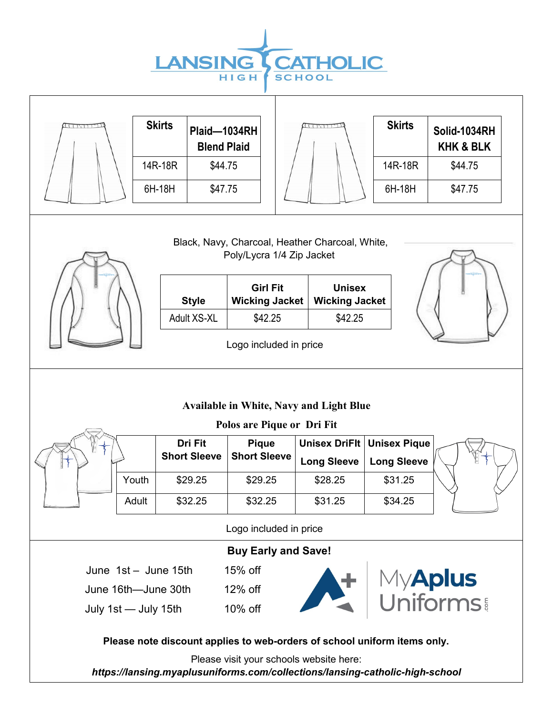

'n

| <u>leggy med</u>                                                                                                                                                                                                                                  |       | <b>Skirts</b>       | Plaid-1034RH<br><b>Blend Plaid</b> |                             | (                    | <b>Skirts</b>       | Solid-1034RH<br><b>KHK &amp; BLK</b> |  |
|---------------------------------------------------------------------------------------------------------------------------------------------------------------------------------------------------------------------------------------------------|-------|---------------------|------------------------------------|-----------------------------|----------------------|---------------------|--------------------------------------|--|
|                                                                                                                                                                                                                                                   |       | 14R-18R             | \$44.75                            |                             |                      | 14R-18R             | \$44.75                              |  |
|                                                                                                                                                                                                                                                   |       | 6H-18H              | \$47.75                            |                             |                      | 6H-18H              | \$47.75                              |  |
| Black, Navy, Charcoal, Heather Charcoal, White,<br>Poly/Lycra 1/4 Zip Jacket<br><b>Girl Fit</b><br><b>Unisex</b><br><b>Style</b><br><b>Wicking Jacket</b><br><b>Wicking Jacket</b><br>Adult XS-XL<br>\$42.25<br>\$42.25<br>Logo included in price |       |                     |                                    |                             |                      |                     |                                      |  |
| <b>Available in White, Navy and Light Blue</b><br>Polos are Pique or Dri Fit                                                                                                                                                                      |       |                     |                                    |                             |                      |                     |                                      |  |
|                                                                                                                                                                                                                                                   |       | Dri Fit             | <b>Pique</b>                       |                             | <b>Unisex DriFlt</b> | <b>Unisex Pique</b> |                                      |  |
|                                                                                                                                                                                                                                                   |       | <b>Short Sleeve</b> | <b>Short Sleeve</b>                |                             | <b>Long Sleeve</b>   | <b>Long Sleeve</b>  |                                      |  |
|                                                                                                                                                                                                                                                   | Youth | \$29.25             | \$29.25                            |                             | \$28.25              | \$31.25             |                                      |  |
|                                                                                                                                                                                                                                                   | Adult | \$32.25             | \$32.25                            |                             | \$31.25              | \$34.25             |                                      |  |
| Logo included in price                                                                                                                                                                                                                            |       |                     |                                    |                             |                      |                     |                                      |  |
| <b>Buy Early and Save!</b>                                                                                                                                                                                                                        |       |                     |                                    |                             |                      |                     |                                      |  |
| 15% off<br>June $1st -$ June $15th$                                                                                                                                                                                                               |       |                     |                                    |                             |                      |                     |                                      |  |
| June 16th-June 30th                                                                                                                                                                                                                               |       |                     | 12% off                            | My <b>Aplus</b><br>Uniforms |                      |                     |                                      |  |
| July 1st - July 15th                                                                                                                                                                                                                              |       |                     | 10% off                            |                             |                      |                     |                                      |  |
| Please note discount applies to web-orders of school uniform items only.<br>Please visit your schools website here:                                                                                                                               |       |                     |                                    |                             |                      |                     |                                      |  |
| https://lansing.myaplusuniforms.com/collections/lansing-catholic-high-school                                                                                                                                                                      |       |                     |                                    |                             |                      |                     |                                      |  |